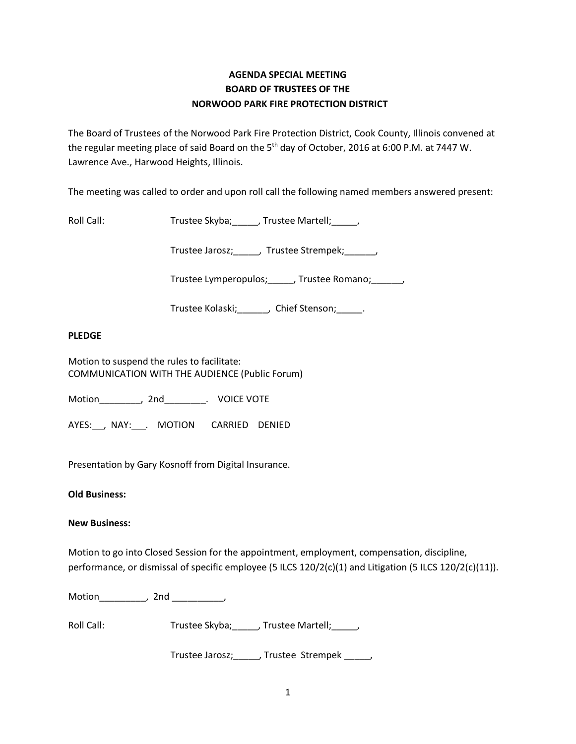## **AGENDA SPECIAL MEETING BOARD OF TRUSTEES OF THE NORWOOD PARK FIRE PROTECTION DISTRICT**

The Board of Trustees of the Norwood Park Fire Protection District, Cook County, Illinois convened at the regular meeting place of said Board on the  $5<sup>th</sup>$  day of October, 2016 at 6:00 P.M. at 7447 W. Lawrence Ave., Harwood Heights, Illinois.

The meeting was called to order and upon roll call the following named members answered present:

Roll Call: Trustee Skyba; \_\_\_\_, Trustee Martell; \_\_\_\_,

Trustee Jarosz;\_\_\_\_\_, Trustee Strempek;\_\_\_\_\_\_,

Trustee Lymperopulos; \_\_\_\_\_, Trustee Romano; \_\_\_\_\_,

Trustee Kolaski; Chief Stenson; Fig. 2.

## **PLEDGE**

Motion to suspend the rules to facilitate: COMMUNICATION WITH THE AUDIENCE (Public Forum)

Motion\_\_\_\_\_\_\_\_, 2nd\_\_\_\_\_\_\_\_. VOICE VOTE

AYES: NAY: MOTION CARRIED DENIED

Presentation by Gary Kosnoff from Digital Insurance.

**Old Business:**

## **New Business:**

Motion to go into Closed Session for the appointment, employment, compensation, discipline, performance, or dismissal of specific employee (5 ILCS 120/2(c)(1) and Litigation (5 ILCS 120/2(c)(11)).

Motion\_\_\_\_\_\_\_\_\_, 2nd \_\_\_\_\_\_\_\_\_\_,

Roll Call: Trustee Skyba; \_\_\_\_, Trustee Martell; \_\_\_\_,

Trustee Jarosz;\_\_\_\_\_, Trustee Strempek \_\_\_\_\_,